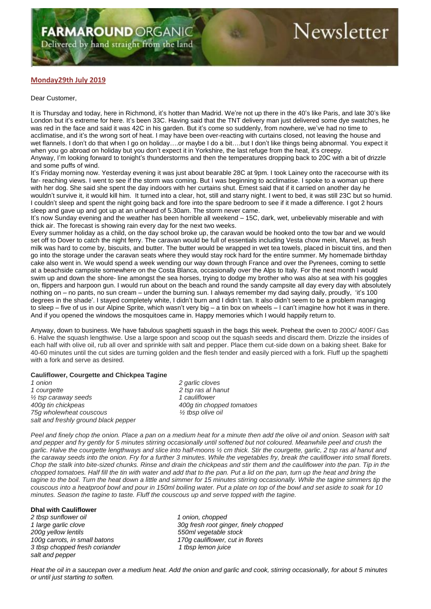# **Newsletter**

## **Monday29th July 2019**

#### Dear Customer,

It is Thursday and today, here in Richmond, it's hotter than Madrid. We're not up there in the 40's like Paris, and late 30's like London but it's extreme for here. It's been 33C. Having said that the TNT delivery man just delivered some dye swatches, he was red in the face and said it was 42C in his garden. But it's come so suddenly, from nowhere, we've had no time to acclimatise, and it's the wrong sort of heat. I may have been over-reacting with curtains closed, not leaving the house and wet flannels. I don't do that when I go on holiday….or maybe I do a bit….but I don't like things being abnormal. You expect it when you go abroad on holiday but you don't expect it in Yorkshire, the last refuge from the heat, it's creepy. Anyway, I'm looking forward to tonight's thunderstorms and then the temperatures dropping back to 20C with a bit of drizzle and some puffs of wind.

It's Friday morning now. Yesterday evening it was just about bearable 28C at 9pm. I took Lainey onto the racecourse with its far- reaching views. I went to see if the storm was coming. But I was beginning to acclimatise. I spoke to a woman up there with her dog. She said she spent the day indoors with her curtains shut. Ernest said that if it carried on another day he wouldn't survive it, it would kill him. It turned into a clear, hot, still and starry night. I went to bed, it was still 23C but so humid. I couldn't sleep and spent the night going back and fore into the spare bedroom to see if it made a difference. I got 2 hours sleep and gave up and got up at an unheard of 5.30am. The storm never came.

It's now Sunday evening and the weather has been horrible all weekend – 15C, dark, wet, unbelievably miserable and with thick air. The forecast is showing rain every day for the next two weeks.

Every summer holiday as a child, on the day school broke up, the caravan would be hooked onto the tow bar and we would set off to Dover to catch the night ferry. The caravan would be full of essentials including Vesta chow mein, Marvel, as fresh milk was hard to come by, biscuits, and butter. The butter would be wrapped in wet tea towels, placed in biscuit tins, and then go into the storage under the caravan seats where they would stay rock hard for the entire summer. My homemade birthday cake also went in. We would spend a week wending our way down through France and over the Pyrenees, coming to settle at a beachside campsite somewhere on the Costa Blanca, occasionally over the Alps to Italy. For the next month I would swim up and down the shore- line amongst the sea horses, trying to dodge my brother who was also at sea with his goggles on, flippers and harpoon gun. I would run about on the beach and round the sandy campsite all day every day with absolutely nothing on – no pants, no sun cream – under the burning sun. I always remember my dad saying daily, proudly, 'it's 100 degrees in the shade'. I stayed completely white, I didn't burn and I didn't tan. It also didn't seem to be a problem managing to sleep – five of us in our Alpine Sprite, which wasn't very big – a tin box on wheels – I can't imagine how hot it was in there. And if you opened the windows the mosquitoes came in. Happy memories which I would happily return to.

Anyway, down to business. We have fabulous spaghetti squash in the bags this week. Preheat the oven to 200C/ 400F/ Gas 6. Halve the squash lengthwise. Use a large spoon and scoop out the squash seeds and discard them. Drizzle the insides of each half with olive oil, rub all over and sprinkle with salt and pepper. Place them cut-side down on a baking sheet. Bake for 40-60 minutes until the cut sides are turning golden and the flesh tender and easily pierced with a fork. Fluff up the spaghetti with a fork and serve as desired.

#### **Cauliflower, Courgette and Chickpea Tagine**

*1 onion 2 garlic cloves 1 courgette 2 tsp ras al hanut ½ tsp caraway seeds 1 cauliflower 400g tin chickpeas 400g tin chopped tomatoes 75g wholewheat couscous ½ tbsp olive oil salt and freshly ground black pepper*

*Peel and finely chop the onion. Place a pan on a medium heat for a minute then add the olive oil and onion. Season with salt and pepper and fry gently for 5 minutes stirring occasionally until softened but not coloured. Meanwhile peel and crush the garlic. Halve the courgette lengthways and slice into half-moons ½ cm thick. Stir the courgette, garlic, 2 tsp ras al hanut and the caraway seeds into the onion. Fry for a further 3 minutes. While the vegetables fry, break the cauliflower into small florets. Chop the stalk into bite-sized chunks. Rinse and drain the chickpeas and stir them and the cauliflower into the pan. Tip in the chopped tomatoes. Half fill the tin with water and add that to the pan. Put a lid on the pan, turn up the heat and bring the tagine to the boil. Turn the heat down a little and simmer for 15 minutes stirring occasionally. While the tagine simmers tip the couscous into a heatproof bowl and pour in 150ml boiling water. Put a plate on top of the bowl and set aside to soak for 10 minutes. Season the tagine to taste. Fluff the couscous up and serve topped with the tagine.*

### **Dhal with Cauliflower**

*2 tbsp sunflower oil 1 onion, chopped 100g carrots, in small batons 170g cauliflower, cut in florets 3 tbsp chopped fresh coriander 1 tbsp lemon juice salt and pepper*

*1 large garlic clove 30g fresh root ginger, finely chopped 200g yellow lentils 550ml vegetable stock*

*Heat the oil in a saucepan over a medium heat. Add the onion and garlic and cook, stirring occasionally, for about 5 minutes or until just starting to soften.*